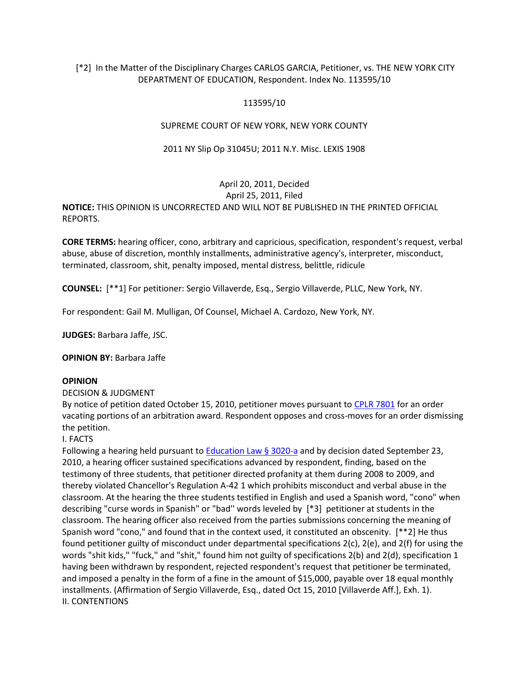# [\*2] In the Matter of the Disciplinary Charges CARLOS GARCIA, Petitioner, vs. THE NEW YORK CITY DEPARTMENT OF EDUCATION, Respondent. Index No. 113595/10

### 113595/10

# SUPREME COURT OF NEW YORK, NEW YORK COUNTY

### 2011 NY Slip Op 31045U; 2011 N.Y. Misc. LEXIS 1908

# April 20, 2011, Decided

April 25, 2011, Filed **NOTICE:** THIS OPINION IS UNCORRECTED AND WILL NOT BE PUBLISHED IN THE PRINTED OFFICIAL REPORTS.

**CORE TERMS:** hearing officer, cono, arbitrary and capricious, specification, respondent's request, verbal abuse, abuse of discretion, monthly installments, administrative agency's, interpreter, misconduct, terminated, classroom, shit, penalty imposed, mental distress, belittle, ridicule

**COUNSEL:** [\*\*1] For petitioner: Sergio Villaverde, Esq., Sergio Villaverde, PLLC, New York, NY.

For respondent: Gail M. Mulligan, Of Counsel, Michael A. Cardozo, New York, NY.

**JUDGES:** Barbara Jaffe, JSC.

**OPINION BY:** Barbara Jaffe

#### **OPINION**

#### DECISION & JUDGMENT

By notice of petition dated October 15, 2010, petitioner moves pursuant to [CPLR 7801](http://www.lexisnexis.com.ezproxy.strose.edu/lnacui2api/mungo/lexseestat.do?bct=A&risb=21_T12065449606&homeCsi=9095&A=0.8218048792725127&urlEnc=ISO-8859-1&&citeString=N.Y.%20C.P.L.R.%207801&countryCode=USA) for an order vacating portions of an arbitration award. Respondent opposes and cross-moves for an order dismissing the petition.

#### I. FACTS

Following a hearing held pursuant to **Education Law § 3020-a** and by decision dated September 23, 2010, a hearing officer sustained specifications advanced by respondent, finding, based on the testimony of three students, that petitioner directed profanity at them during 2008 to 2009, and thereby violated Chancellor's Regulation A-42 1 which prohibits misconduct and verbal abuse in the classroom. At the hearing the three students testified in English and used a Spanish word, "cono" when describing "curse words in Spanish" or "bad'' words leveled by [\*3] petitioner at students in the classroom. The hearing officer also received from the parties submissions concerning the meaning of Spanish word "cono," and found that in the context used, it constituted an obscenity. [\*\*2] He thus found petitioner guilty of misconduct under departmental specifications 2(c), 2(e), and 2(f) for using the words "shit kids," "fuck," and "shit," found him not guilty of specifications 2(b) and 2(d), specification 1 having been withdrawn by respondent, rejected respondent's request that petitioner be terminated, and imposed a penalty in the form of a fine in the amount of \$15,000, payable over 18 equal monthly installments. (Affirmation of Sergio Villaverde, Esq., dated Oct 15, 2010 [Villaverde Aff.], Exh. 1). II. CONTENTIONS